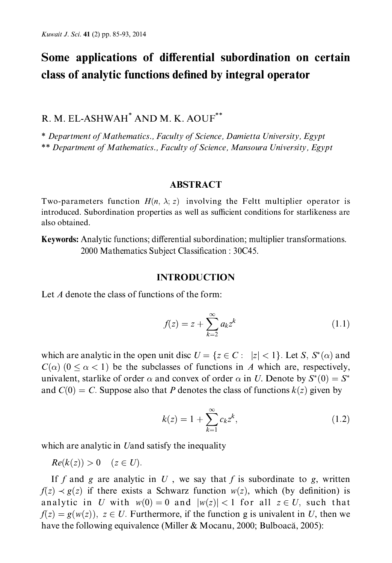# Some applications of differential subordination on certain class of analytic functions defined by integral operator

# R. M. EL-ASHWAH<sup>\*</sup> AND M. K. AOUF<sup>\*\*</sup>

\* Department of Mathematics., Faculty of Science, Damietta University, Egypt \*\* Department of Mathematics., Faculty of Science, Mansoura University, Egypt

#### **ABSTRACT**

Two-parameters function  $H(n, \lambda; z)$  involving the Feltt multiplier operator is introduced. Subordination properties as well as sufficient conditions for starlikeness are also obtained.

Keywords: Analytic functions; differential subordination; multiplier transformations. 2000 Mathematics Subject Classification: 30C45.

#### **INTRODUCTION**

Let  $A$  denote the class of functions of the form:

$$
f(z) = z + \sum_{k=2}^{\infty} a_k z^k
$$
 (1.1)

which are analytic in the open unit disc  $U = \{z \in C : |z| < 1\}$ . Let S,  $S^*(\alpha)$  and  $C(\alpha)$  (0 <  $\alpha$  < 1) be the subclasses of functions in A which are, respectively, univalent, starlike of order  $\alpha$  and convex of order  $\alpha$  in U. Denote by  $S^*(0) = S^*$ and  $C(0) = C$ . Suppose also that P denotes the class of functions  $k(z)$  given by

$$
k(z) = 1 + \sum_{k=1}^{\infty} c_k z^k,
$$
 (1.2)

which are analytic in Uand satisfy the inequality

 $Re(k(z)) > 0$   $(z \in U)$ .

If f and g are analytic in U, we say that f is subordinate to g, written  $f(z) \prec g(z)$  if there exists a Schwarz function  $w(z)$ , which (by definition) is analytic in U with  $w(0) = 0$  and  $|w(z)| < 1$  for all  $z \in U$ , such that  $f(z) = g(w(z))$ ,  $z \in U$ . Furthermore, if the function g is univalent in U, then we have the following equivalence (Miller & Mocanu, 2000; Bulboacă, 2005):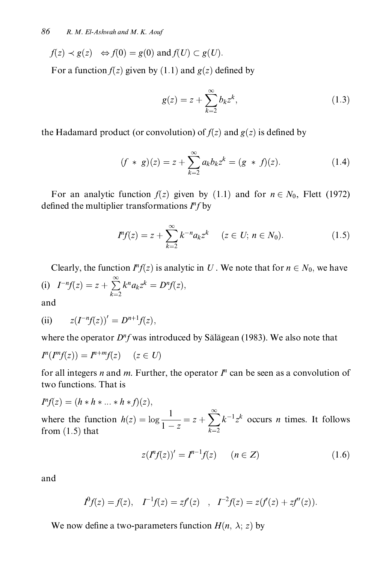$$
f(z) \prec g(z) \iff f(0) = g(0) \text{ and } f(U) \subset g(U).
$$

For a function  $f(z)$  given by (1.1) and  $g(z)$  defined by

$$
g(z) = z + \sum_{k=2}^{\infty} b_k z^k,
$$
 (1.3)

the Hadamard product (or convolution) of  $f(z)$  and  $g(z)$  is defined by

$$
(f * g)(z) = z + \sum_{k=2}^{\infty} a_k b_k z^k = (g * f)(z).
$$
 (1.4)

For an analytic function  $f(z)$  given by (1.1) and for  $n \in N_0$ , Flett (1972) defined the multiplier transformations  $I^n f$  by

$$
I^{n} f(z) = z + \sum_{k=2}^{\infty} k^{-n} a_{k} z^{k} \quad (z \in U; n \in N_{0}).
$$
 (1.5)

Clearly, the function  $I^n f(z)$  is analytic in U. We note that for  $n \in N_0$ , we have (i)  $I^{-n}f(z) = z + \sum_{k=2}^{\infty} k^n a_k z^k = D^n f(z),$ and

(ii) 
$$
z(I^{-n}f(z))' = D^{n+1}f(z)
$$

where the operator  $D^n f$  was introduced by Sălăgean (1983). We also note that

$$
I^n(I^m f(z)) = I^{n+m} f(z) \quad (z \in U)
$$

for all integers *n* and *m*. Further, the operator  $I<sup>n</sup>$  can be seen as a convolution of two functions. That is

$$
I^{n}f(z) = (h * h * ... * h * f)(z),
$$
  
where the function  $h(z) = \log \frac{1}{1 - z} = z + \sum_{k=2}^{\infty} k^{-1} z^{k}$  occurs *n* times. It follows from (1.5) that

$$
z(I^{n}f(z))' = I^{n-1}f(z) \qquad (n \in Z)
$$
\n(1.6)

and

$$
I^0f(z) = f(z), \quad I^{-1}f(z) = zf'(z) \quad , \quad I^{-2}f(z) = z(f'(z) + zf''(z)).
$$

We now define a two-parameters function  $H(n, \lambda; z)$  by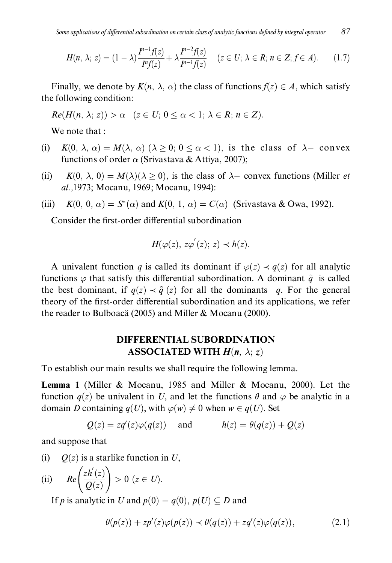$$
H(n, \lambda; z) = (1 - \lambda) \frac{I^{n-1} f(z)}{I^n f(z)} + \lambda \frac{I^{n-2} f(z)}{I^{n-1} f(z)} \quad (z \in U; \ \lambda \in R; \ n \in Z; f \in A). \tag{1.7}
$$

Finally, we denote by  $K(n, \lambda, \alpha)$  the class of functions  $f(z) \in A$ , which satisfy the following condition:

 $Re(H(n, \lambda; z)) > \alpha \quad (z \in U; 0 \leq \alpha < 1; \lambda \in R; n \in Z).$ 

We note that :

- $K(0, \lambda, \alpha) = M(\lambda, \alpha)$  ( $\lambda \ge 0$ ;  $0 \le \alpha < 1$ ), is the class of  $\lambda$  convex  $(i)$ functions of order  $\alpha$  (Srivastava & Attiya, 2007);
- $(ii)$  $K(0, \lambda, 0) = M(\lambda)(\lambda > 0)$ , is the class of  $\lambda$ – convex functions (Miller *et*) al., 1973; Mocanu, 1969; Mocanu, 1994):
- $K(0, 0, \alpha) = S^*(\alpha)$  and  $K(0, 1, \alpha) = C(\alpha)$  (Srivastava & Owa, 1992). (iii)

Consider the first-order differential subordination

$$
H(\varphi(z), z\varphi^{'}(z); z) \prec h(z).
$$

A univalent function q is called its dominant if  $\varphi(z) \prec q(z)$  for all analytic functions  $\varphi$  that satisfy this differential subordination. A dominant  $\hat{q}$  is called the best dominant, if  $q(z) \prec \hat{q}(z)$  for all the dominants q. For the general theory of the first-order differential subordination and its applications, we refer the reader to Bulboacă (2005) and Miller & Mocanu (2000).

## **DIFFERENTIAL SUBORDINATION** ASSOCIATED WITH  $H(n, \lambda; z)$

To establish our main results we shall require the following lemma.

**Lemma 1** (Miller & Mocanu, 1985 and Miller & Mocanu, 2000). Let the function  $q(z)$  be univalent in U, and let the functions  $\theta$  and  $\varphi$  be analytic in a domain D containing  $q(U)$ , with  $\varphi(w) \neq 0$  when  $w \in q(U)$ . Set

$$
Q(z) = zq'(z)\varphi(q(z))
$$
 and  $h(z) = \theta(q(z)) + Q(z)$ 

and suppose that

 $(i)$  $Q(z)$  is a starlike function in U,

(ii) 
$$
Re\left(\frac{zh'(z)}{Q(z)}\right) > 0 \ (z \in U).
$$

If p is analytic in U and  $p(0) = q(0)$ ,  $p(U) \subseteq D$  and

$$
\theta(p(z)) + zp'(z)\varphi(p(z)) \prec \theta(q(z)) + zq'(z)\varphi(q(z)), \qquad (2.1)
$$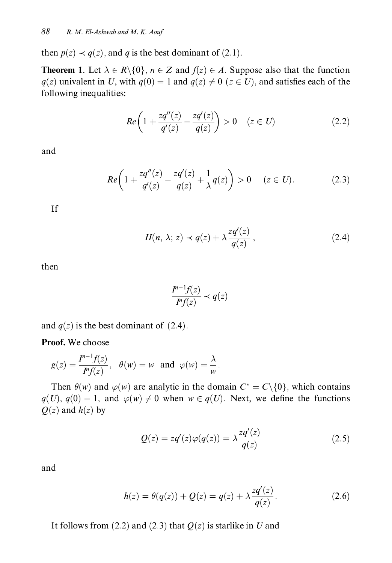then  $p(z) \prec q(z)$ , and q is the best dominant of (2.1).

**Theorem 1.** Let  $\lambda \in R \setminus \{0\}$ ,  $n \in \mathbb{Z}$  and  $f(z) \in A$ . Suppose also that the function  $q(z)$  univalent in U, with  $q(0) = 1$  and  $q(z) \neq 0$  ( $z \in U$ ), and satisfies each of the following inequalities:

$$
Re\left(1 + \frac{zq''(z)}{q'(z)} - \frac{zq'(z)}{q(z)}\right) > 0 \quad (z \in U) \tag{2.2}
$$

and

$$
Re\bigg(1+\frac{zq''(z)}{q'(z)}-\frac{zq'(z)}{q(z)}+\frac{1}{\lambda}q(z)\bigg)>0\quad(z\in U).\tag{2.3}
$$

If

$$
H(n, \lambda; z) \prec q(z) + \lambda \frac{zq'(z)}{q(z)}, \qquad (2.4)
$$

then

$$
\frac{I^{n-1}f(z)}{I^n f(z)} \prec q(z)
$$

and  $q(z)$  is the best dominant of (2.4).

Proof. We choose

$$
g(z) = \frac{P^{-1}f(z)}{P'f(z)}, \quad \theta(w) = w \text{ and } \varphi(w) = \frac{\lambda}{w}.
$$

Then  $\theta(w)$  and  $\varphi(w)$  are analytic in the domain  $C^* = C \setminus \{0\}$ , which contains  $q(U)$ ,  $q(0) = 1$ , and  $\varphi(w) \neq 0$  when  $w \in q(U)$ . Next, we define the functions  $Q(z)$  and  $h(z)$  by

$$
Q(z) = zq'(z)\varphi(q(z)) = \lambda \frac{zq'(z)}{q(z)}
$$
\n(2.5)

and

$$
h(z) = \theta(q(z)) + Q(z) = q(z) + \lambda \frac{zq'(z)}{q(z)}.
$$
 (2.6)

It follows from (2.2) and (2.3) that  $Q(z)$  is starlike in U and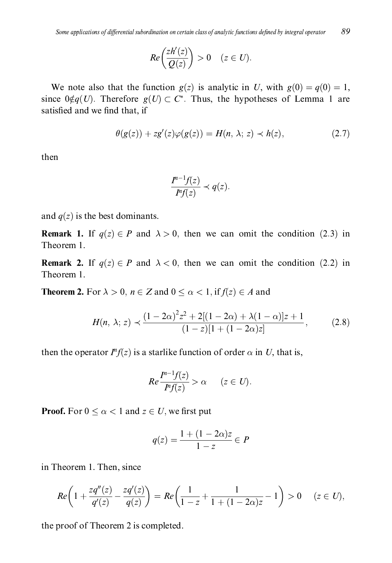$$
Re\left(\frac{zh'(z)}{Q(z)}\right) > 0 \quad (z \in U).
$$

We note also that the function  $g(z)$  is analytic in U, with  $g(0) = g(0) = 1$ , since  $0 \notin q(U)$ . Therefore  $q(U) \subset C^*$ . Thus, the hypotheses of Lemma 1 are satisfied and we find that, if

$$
\theta(g(z)) + zg'(z)\varphi(g(z)) = H(n, \lambda; z) \prec h(z), \qquad (2.7)
$$

then

$$
\frac{I^{n-1}f(z)}{I^n f(z)} \prec q(z).
$$

and  $q(z)$  is the best dominants.

**Remark 1.** If  $q(z) \in P$  and  $\lambda > 0$ , then we can omit the condition (2.3) in Theorem 1.

**Remark 2.** If  $q(z) \in P$  and  $\lambda < 0$ , then we can omit the condition (2.2) in Theorem 1.

**Theorem 2.** For  $\lambda > 0$ ,  $n \in \mathbb{Z}$  and  $0 \leq \alpha < 1$ , if  $f(z) \in A$  and

$$
H(n, \lambda; z) \prec \frac{(1 - 2\alpha)^2 z^2 + 2[(1 - 2\alpha) + \lambda(1 - \alpha)]z + 1}{(1 - z)[1 + (1 - 2\alpha)z]},
$$
(2.8)

then the operator  $I^n f(z)$  is a starlike function of order  $\alpha$  in U, that is,

$$
Re\frac{I^{n-1}f(z)}{I^n f(z)} > \alpha \qquad (z \in U).
$$

**Proof.** For  $0 \le \alpha < 1$  and  $z \in U$ , we first put

$$
q(z) = \frac{1 + (1 - 2\alpha)z}{1 - z} \in P
$$

in Theorem 1. Then, since

$$
Re\bigg(1+\frac{zq''(z)}{q'(z)}-\frac{zq'(z)}{q(z)}\bigg)=Re\bigg(\frac{1}{1-z}+\frac{1}{1+(1-2\alpha)z}-1\bigg)>0\quad(z\in U),
$$

the proof of Theorem 2 is completed.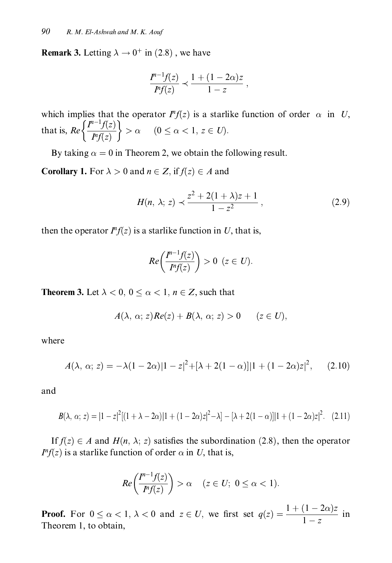**Remark 3.** Letting  $\lambda \rightarrow 0^+$  in (2.8), we have

$$
\frac{I^{n-1}f(z)}{I^n f(z)} \prec \frac{1+(1-2\alpha)z}{1-z} ,
$$

which implies that the operator  $I^{n}f(z)$  is a starlike function of order  $\alpha$  in U, that is,  $Re\left\{\frac{I^{n-1}f(z)}{I^n f(z)}\right\} > \alpha$   $(0 \leq \alpha < 1, z \in U).$ 

By taking  $\alpha = 0$  in Theorem 2, we obtain the following result.

**Corollary 1.** For  $\lambda > 0$  and  $n \in Z$ , if  $f(z) \in A$  and

$$
H(n, \lambda; z) \prec \frac{z^2 + 2(1 + \lambda)z + 1}{1 - z^2}, \qquad (2.9)
$$

then the operator  $I^n f(z)$  is a starlike function in U, that is,

$$
Re\left(\frac{I^{n-1}f(z)}{I^n f(z)}\right) > 0 \ \ (z \in U).
$$

**Theorem 3.** Let  $\lambda < 0$ ,  $0 \le \alpha < 1$ ,  $n \in \mathbb{Z}$ , such that

$$
A(\lambda, \alpha; z) Re(z) + B(\lambda, \alpha; z) > 0 \quad (z \in U),
$$

where

$$
A(\lambda, \alpha; z) = -\lambda (1 - 2\alpha) |1 - z|^2 + [\lambda + 2(1 - \alpha)] |1 + (1 - 2\alpha)z|^2, \quad (2.10)
$$

and

$$
B(\lambda, \alpha; z) = |1 - z|^2 [(1 + \lambda - 2\alpha)]1 + (1 - 2\alpha)z|^2 - \lambda] - [\lambda + 2(1 - \alpha)]|1 + (1 - 2\alpha)z|^2. \tag{2.11}
$$

If  $f(z) \in A$  and  $H(n, \lambda; z)$  satisfies the subordination (2.8), then the operator  $I^n f(z)$  is a starlike function of order  $\alpha$  in U, that is,

$$
Re\left(\frac{F^{-1}f(z)}{F'f(z)}\right) > \alpha \quad (z \in U; \ 0 \le \alpha < 1).
$$

**Proof.** For  $0 \le \alpha < 1$ ,  $\lambda < 0$  and  $z \in U$ , we first set  $q(z) = \frac{1 + (1 - 2\alpha)z}{1 - z}$  in Theorem 1, to obtain,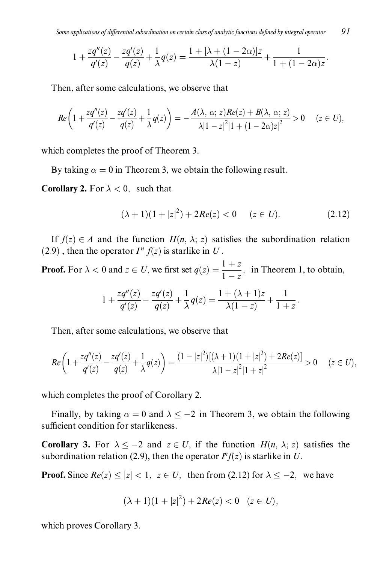91 Some applications of differential subordination on certain class of analytic functions defined by integral operator

$$
1 + \frac{zq''(z)}{q'(z)} - \frac{zq'(z)}{q(z)} + \frac{1}{\lambda}q(z) = \frac{1 + [\lambda + (1 - 2\alpha)]z}{\lambda(1 - z)} + \frac{1}{1 + (1 - 2\alpha)z}.
$$

Then, after some calculations, we observe that

$$
Re\bigg(1+\frac{zq''(z)}{q'(z)}-\frac{zq'(z)}{q(z)}+\frac{1}{\lambda}q(z)\bigg)=-\frac{A(\lambda,\,\alpha;\,z)Re(z)+B(\lambda,\,\alpha;\,z)}{|\lambda|-z|^2|1+(1-2\alpha)z|^2}>0\qquad (z\in U),
$$

which completes the proof of Theorem 3.

By taking  $\alpha = 0$  in Theorem 3, we obtain the following result.

**Corollary 2.** For  $\lambda < 0$ , such that

$$
(\lambda + 1)(1 + |z|^2) + 2Re(z) < 0 \quad (z \in U). \tag{2.12}
$$

If  $f(z) \in A$  and the function  $H(n, \lambda; z)$  satisfies the subordination relation (2.9), then the operator  $I^n f(z)$  is starlike in U.

**Proof.** For  $\lambda < 0$  and  $z \in U$ , we first set  $q(z) = \frac{1+z}{1-z}$ , in Theorem 1, to obtain,

$$
1 + \frac{zq''(z)}{q'(z)} - \frac{zq'(z)}{q(z)} + \frac{1}{\lambda}q(z) = \frac{1 + (\lambda + 1)z}{\lambda(1 - z)} + \frac{1}{1 + z}
$$

Then, after some calculations, we observe that

$$
Re\bigg(1+\frac{zq''(z)}{q'(z)}-\frac{zq'(z)}{q(z)}+\frac{1}{\lambda}q(z)\bigg)=\frac{(1-|z|^2)[(\lambda+1)(1+|z|^2)+2Re(z)]}{\lambda|1-z|^2|1+z|^2}>0 \quad (z\in U),
$$

which completes the proof of Corollary 2.

Finally, by taking  $\alpha = 0$  and  $\lambda \le -2$  in Theorem 3, we obtain the following sufficient condition for starlikeness.

**Corollary 3.** For  $\lambda \leq -2$  and  $z \in U$ , if the function  $H(n, \lambda; z)$  satisfies the subordination relation (2.9), then the operator  $I^n f(z)$  is starlike in U.

**Proof.** Since  $Re(z) \le |z| < 1$ ,  $z \in U$ , then from (2.12) for  $\lambda \le -2$ , we have

$$
(\lambda + 1)(1 + |z|^2) + 2Re(z) < 0 \quad (z \in U),
$$

which proves Corollary 3.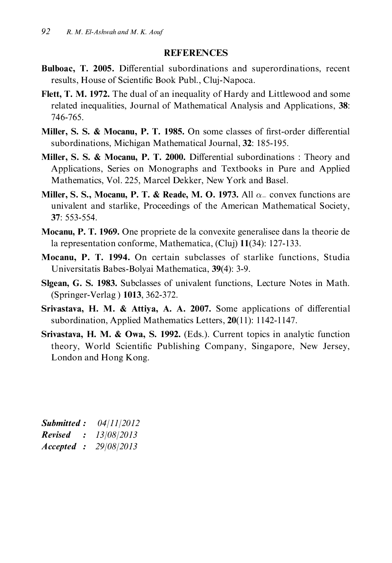### **REFERENCES**

- Bulboac, T. 2005. Differential subordinations and superordinations, recent results, House of Scientific Book Publ., Cluj-Napoca.
- Flett, T. M. 1972. The dual of an inequality of Hardy and Littlewood and some related inequalities, Journal of Mathematical Analysis and Applications, 38: 746-765.
- Miller, S. S. & Mocanu, P. T. 1985. On some classes of first-order differential subordinations, Michigan Mathematical Journal, 32: 185-195.
- Miller, S. S. & Mocanu, P. T. 2000. Differential subordinations: Theory and Applications, Series on Monographs and Textbooks in Pure and Applied Mathematics, Vol. 225, Marcel Dekker, New York and Basel.
- Miller, S. S., Mocanu, P. T. & Reade, M. O. 1973. All  $\alpha_+$  convex functions are univalent and starlike, Proceedings of the American Mathematical Society, 37: 553-554.
- **Mocanu, P. T. 1969.** One propriete de la convexite generalisee dans la theorie de la representation conforme, Mathematica, (Cluj) 11(34): 127-133.
- Mocanu, P. T. 1994. On certain subclasses of starlike functions. Studia Universitatis Babes-Bolyai Mathematica, 39(4): 3-9.
- Slgean, G. S. 1983. Subclasses of univalent functions, Lecture Notes in Math. (Springer-Verlag) 1013, 362-372.
- Srivastava, H. M. & Attiya, A. A. 2007. Some applications of differential subordination, Applied Mathematics Letters,  $20(11)$ : 1142-1147.
- Srivastava, H. M. & Owa, S. 1992. (Eds.). Current topics in analytic function theory, World Scientific Publishing Company, Singapore, New Jersey, London and Hong Kong.

| Submitted:     |               | 04/11/2012 |
|----------------|---------------|------------|
| <b>Revised</b> | $\mathcal{L}$ | 13/08/2013 |
| Accepted :     |               | 29/08/2013 |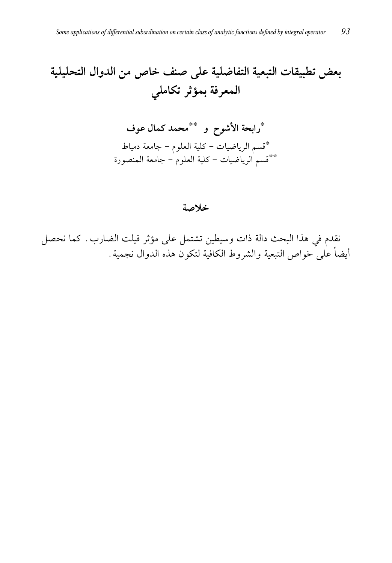# بعض تطبيقات التبعية التفاضلية على صنف خاص من الدوال التحليلية المعرفة بمؤثر تكاملي

## خلاصة

نقدم في هذا البحث دالة ذات وسيطين تشتمل على مؤثر فيلت الضارب. كما نحصل أيضاً على خواص التبعية والشروط الكافية لتكون هذه الدوال نجمية .